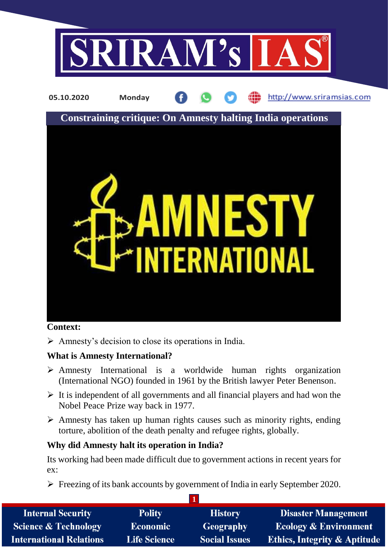

# **Context:**

 $\triangleright$  Amnesty's decision to close its operations in India.

# **What is Amnesty International?**

- $\triangleright$  Amnesty International is a worldwide human rights organization (International NGO) founded in 1961 by the British lawyer Peter Benenson.
- $\triangleright$  It is independent of all governments and all financial players and had won the Nobel Peace Prize way back in 1977.
- $\triangleright$  Amnesty has taken up human rights causes such as minority rights, ending torture, abolition of the death penalty and refugee rights, globally.

# **Why did Amnesty halt its operation in India?**

Its working had been made difficult due to government actions in recent years for ex:

**1**  $\triangleright$  Freezing of its bank accounts by government of India in early September 2020.

| <b>Internal Security</b>        | <b>Polity</b>       | <b>History</b>       | <b>Disaster Management</b>       |
|---------------------------------|---------------------|----------------------|----------------------------------|
| <b>Science &amp; Technology</b> | <b>Economic</b>     | <b>Geography</b>     | <b>Ecology &amp; Environment</b> |
| <b>International Relations</b>  | <b>Life Science</b> | <b>Social Issues</b> | Ethics, Integrity & Aptitude     |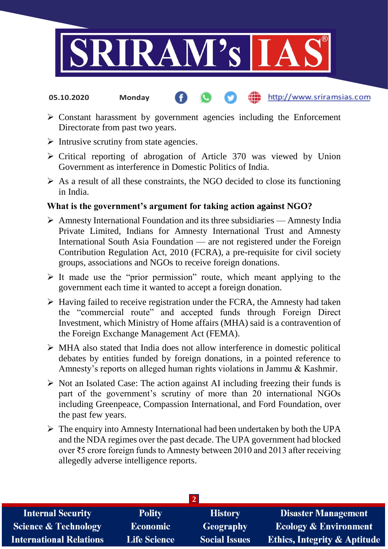

- http://www.sriramsias.com **05.10.2020 Monday**
- $\triangleright$  Constant harassment by government agencies including the Enforcement Directorate from past two years.
- $\triangleright$  Intrusive scrutiny from state agencies.
- $\triangleright$  Critical reporting of abrogation of Article 370 was viewed by Union Government as interference in Domestic Politics of India.
- $\triangleright$  As a result of all these constraints, the NGO decided to close its functioning in India.

## **What is the government's argument for taking action against NGO?**

- $\triangleright$  Amnesty International Foundation and its three subsidiaries Amnesty India Private Limited, Indians for Amnesty International Trust and Amnesty International South Asia Foundation — are not registered under the Foreign Contribution Regulation Act, 2010 (FCRA), a pre-requisite for civil society groups, associations and NGOs to receive foreign donations.
- $\triangleright$  It made use the "prior permission" route, which meant applying to the government each time it wanted to accept a foreign donation.
- $\triangleright$  Having failed to receive registration under the FCRA, the Amnesty had taken the "commercial route" and accepted funds through Foreign Direct Investment, which Ministry of Home affairs (MHA) said is a contravention of the Foreign Exchange Management Act (FEMA).
- MHA also stated that India does not allow interference in domestic political debates by entities funded by foreign donations, in a pointed reference to Amnesty's reports on alleged human rights violations in Jammu & Kashmir.
- $\triangleright$  Not an Isolated Case: The action against AI including freezing their funds is part of the government's scrutiny of more than 20 international NGOs including Greenpeace, Compassion International, and Ford Foundation, over the past few years.
- $\triangleright$  The enquiry into Amnesty International had been undertaken by both the UPA and the NDA regimes over the past decade. The UPA government had blocked over ₹5 crore foreign funds to Amnesty between 2010 and 2013 after receiving allegedly adverse intelligence reports.

| <b>Internal Security</b>        | <b>Polity</b>       | <b>History</b>       | <b>Disaster Management</b>              |  |  |  |
|---------------------------------|---------------------|----------------------|-----------------------------------------|--|--|--|
| <b>Science &amp; Technology</b> | <b>Economic</b>     | <b>Geography</b>     | <b>Ecology &amp; Environment</b>        |  |  |  |
| <b>International Relations</b>  | <b>Life Science</b> | <b>Social Issues</b> | <b>Ethics, Integrity &amp; Aptitude</b> |  |  |  |